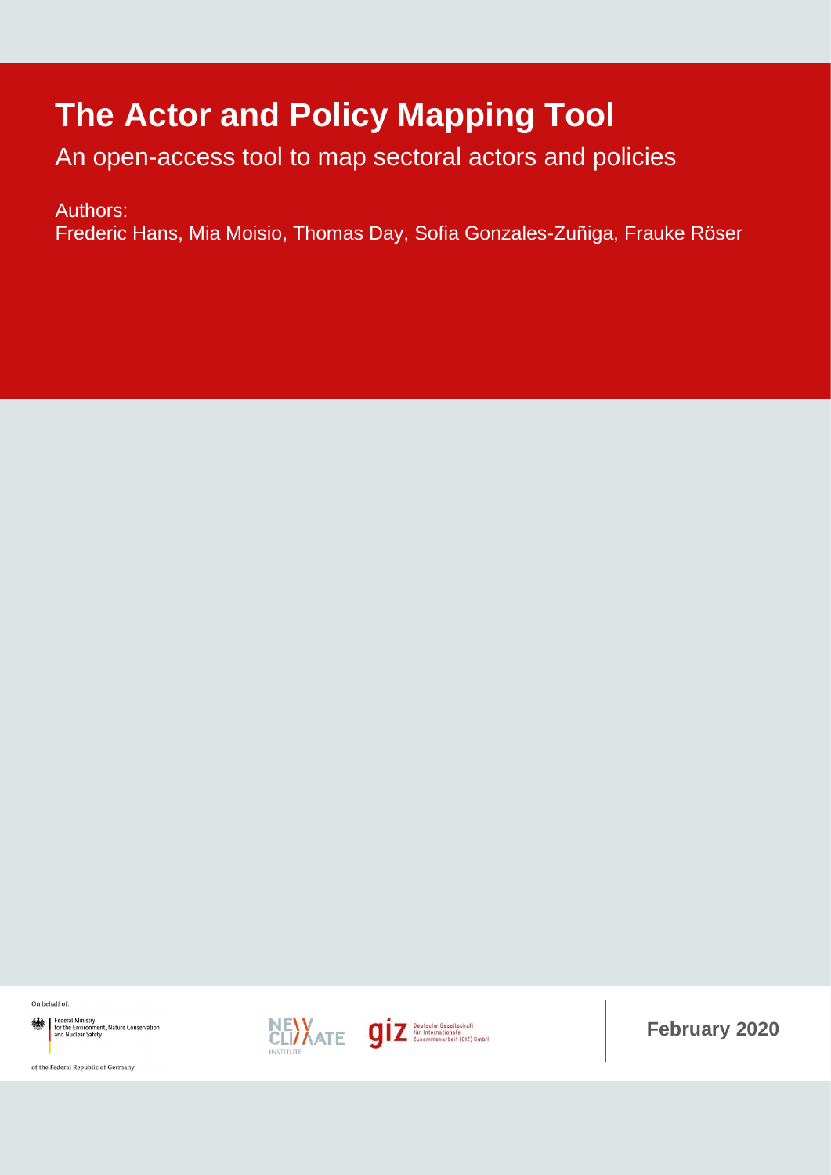# **The Actor and Policy Mapping Tool**

An open-access tool to map sectoral actors and policies

Authors:

Frederic Hans, Mia Moisio, Thomas Day, Sofia Gonzales-Zuñiga, Frauke Röser

On behalf of:

Federal Ministry<br>for the Environment, Nature Conservation<br>and Nuclear Safety





**February 2020**

of the Federal Republic of Germany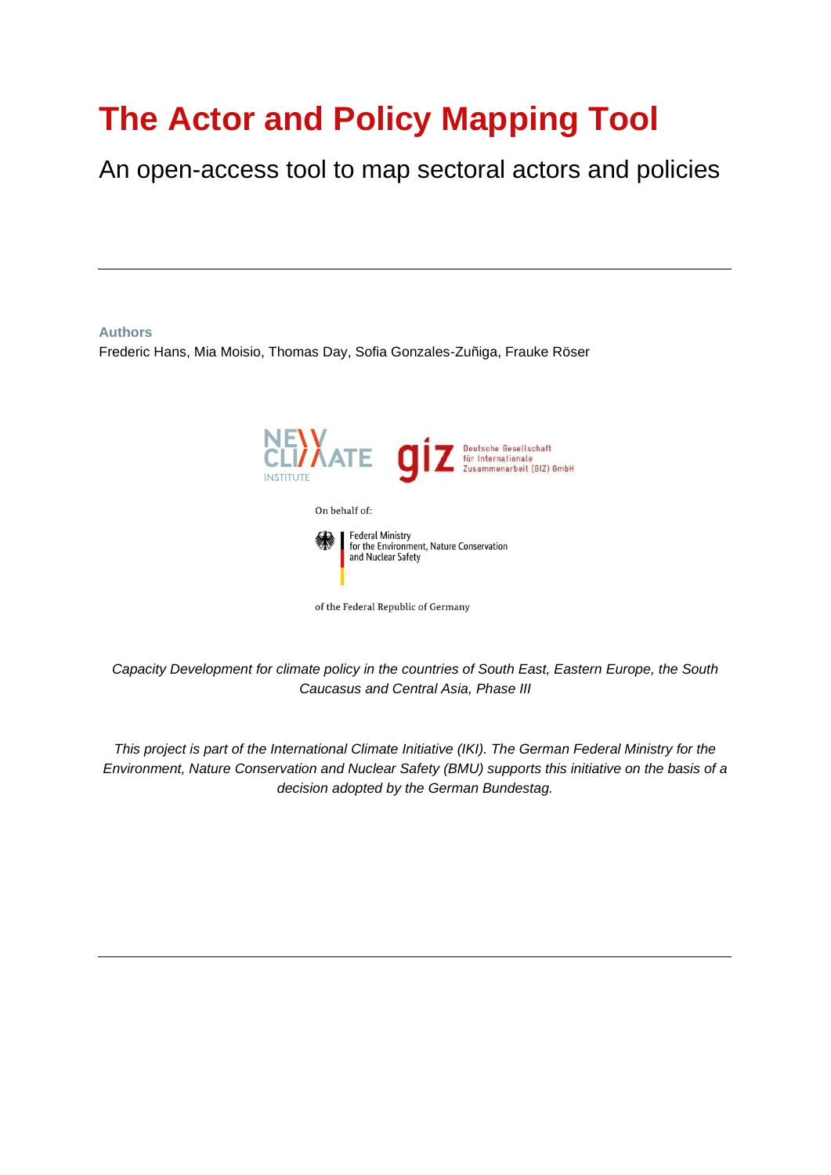# **The Actor and Policy Mapping Tool**

An open-access tool to map sectoral actors and policies

#### **Authors**

Frederic Hans, Mia Moisio, Thomas Day, Sofia Gonzales-Zuñiga, Frauke Röser



*Capacity Development for climate policy in the countries of South East, Eastern Europe, the South Caucasus and Central Asia, Phase III*

*This project is part of the International Climate Initiative (IKI). The German Federal Ministry for the Environment, Nature Conservation and Nuclear Safety (BMU) supports this initiative on the basis of a decision adopted by the German Bundestag.*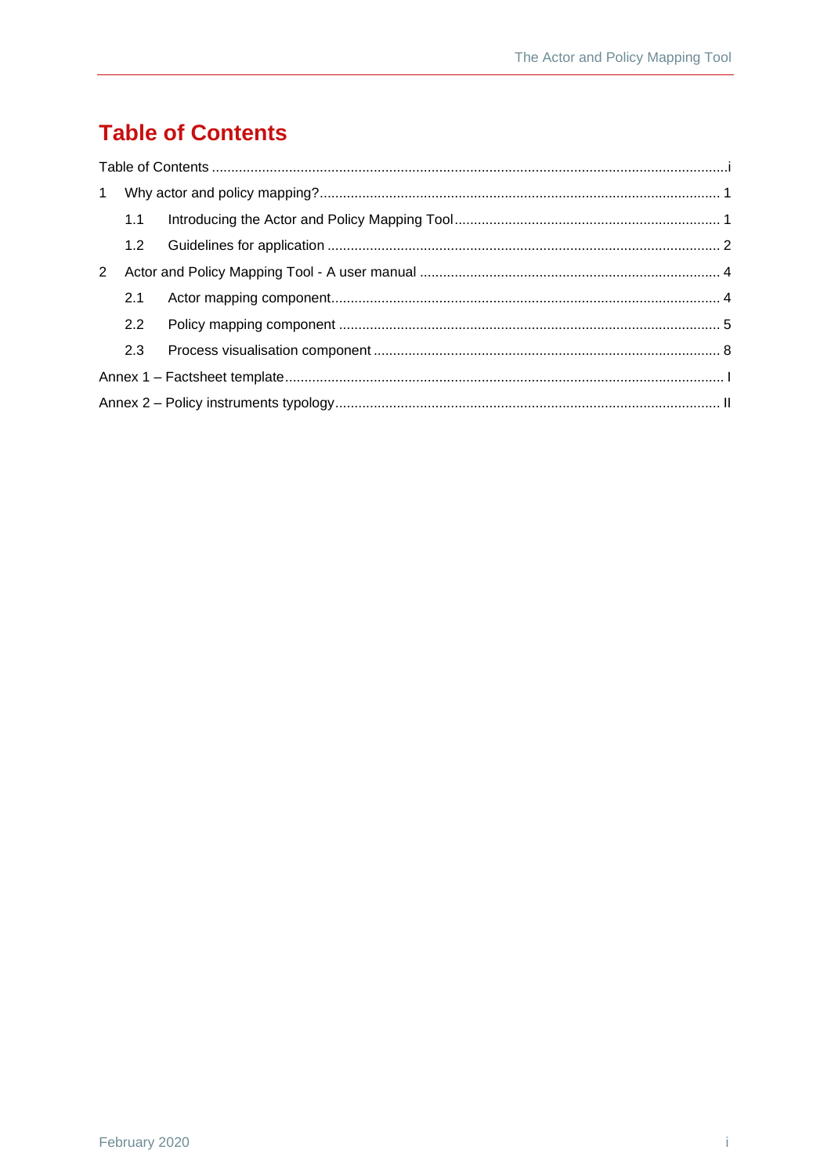# <span id="page-2-0"></span>**Table of Contents**

| $\mathbf{1}$ |                  |  |  |  |
|--------------|------------------|--|--|--|
|              | 1.1              |  |  |  |
|              | 1.2 <sub>1</sub> |  |  |  |
| 2            |                  |  |  |  |
|              | 2.1              |  |  |  |
|              | 2.2              |  |  |  |
|              | 2.3              |  |  |  |
|              |                  |  |  |  |
|              |                  |  |  |  |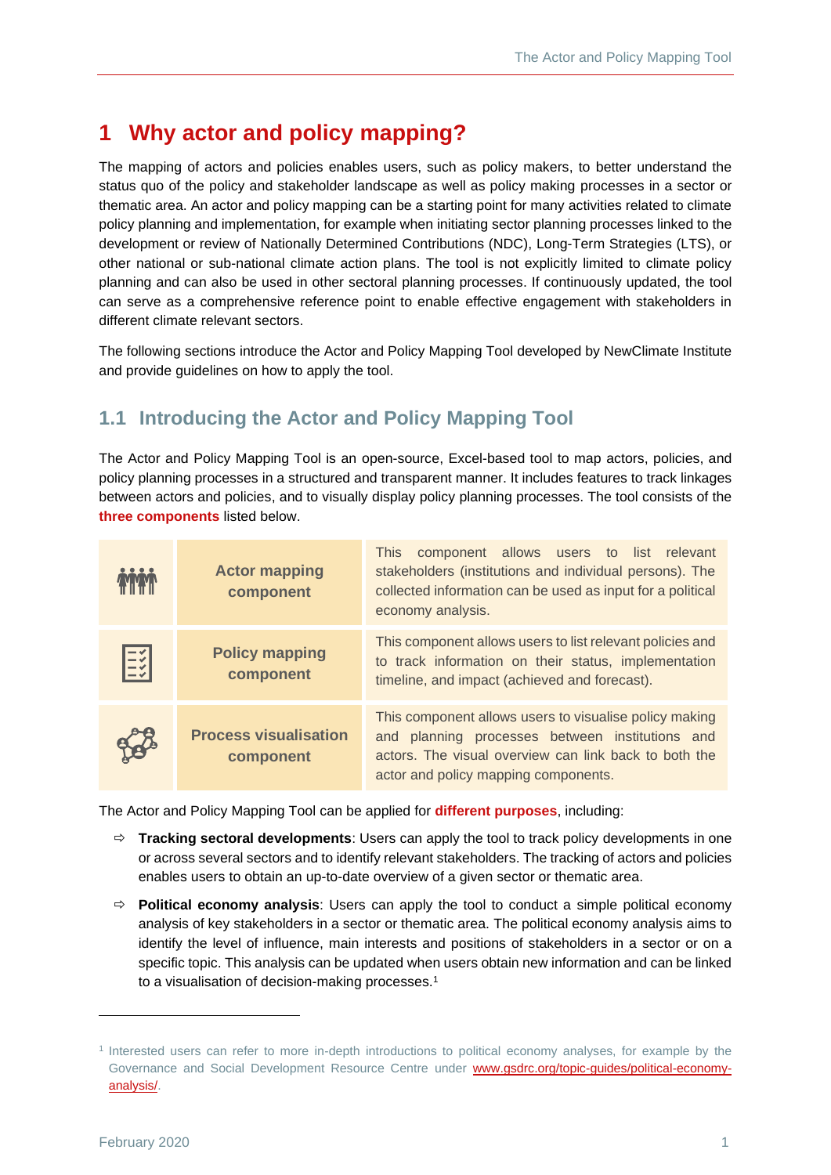## <span id="page-3-0"></span>**1 Why actor and policy mapping?**

The mapping of actors and policies enables users, such as policy makers, to better understand the status quo of the policy and stakeholder landscape as well as policy making processes in a sector or thematic area. An actor and policy mapping can be a starting point for many activities related to climate policy planning and implementation, for example when initiating sector planning processes linked to the development or review of Nationally Determined Contributions (NDC), Long-Term Strategies (LTS), or other national or sub-national climate action plans. The tool is not explicitly limited to climate policy planning and can also be used in other sectoral planning processes. If continuously updated, the tool can serve as a comprehensive reference point to enable effective engagement with stakeholders in different climate relevant sectors.

The following sections introduce the Actor and Policy Mapping Tool developed by NewClimate Institute and provide guidelines on how to apply the tool.

### <span id="page-3-1"></span>**1.1 Introducing the Actor and Policy Mapping Tool**

The Actor and Policy Mapping Tool is an open-source, Excel-based tool to map actors, policies, and policy planning processes in a structured and transparent manner. It includes features to track linkages between actors and policies, and to visually display policy planning processes. The tool consists of the **three components** listed below.

|    | <b>Actor mapping</b><br>component         | component allows users to list relevant<br><b>This</b><br>stakeholders (institutions and individual persons). The<br>collected information can be used as input for a political<br>economy analysis.       |
|----|-------------------------------------------|------------------------------------------------------------------------------------------------------------------------------------------------------------------------------------------------------------|
| EŽ | <b>Policy mapping</b><br>component        | This component allows users to list relevant policies and<br>to track information on their status, implementation<br>timeline, and impact (achieved and forecast).                                         |
|    | <b>Process visualisation</b><br>component | This component allows users to visualise policy making<br>and planning processes between institutions and<br>actors. The visual overview can link back to both the<br>actor and policy mapping components. |

The Actor and Policy Mapping Tool can be applied for **different purposes**, including:

- **Tracking sectoral developments**: Users can apply the tool to track policy developments in one or across several sectors and to identify relevant stakeholders. The tracking of actors and policies enables users to obtain an up-to-date overview of a given sector or thematic area.
- $\Rightarrow$  **Political economy analysis**: Users can apply the tool to conduct a simple political economy analysis of key stakeholders in a sector or thematic area. The political economy analysis aims to identify the level of influence, main interests and positions of stakeholders in a sector or on a specific topic. This analysis can be updated when users obtain new information and can be linked to a visualisation of decision-making processes.<sup>1</sup>

<sup>1</sup> Interested users can refer to more in-depth introductions to political economy analyses, for example by the Governance and Social Development Resource Centre under [www.gsdrc.org/topic-guides/political-economy](http://www.gsdrc.org/topic-guides/political-economy-analysis/)[analysis/.](http://www.gsdrc.org/topic-guides/political-economy-analysis/)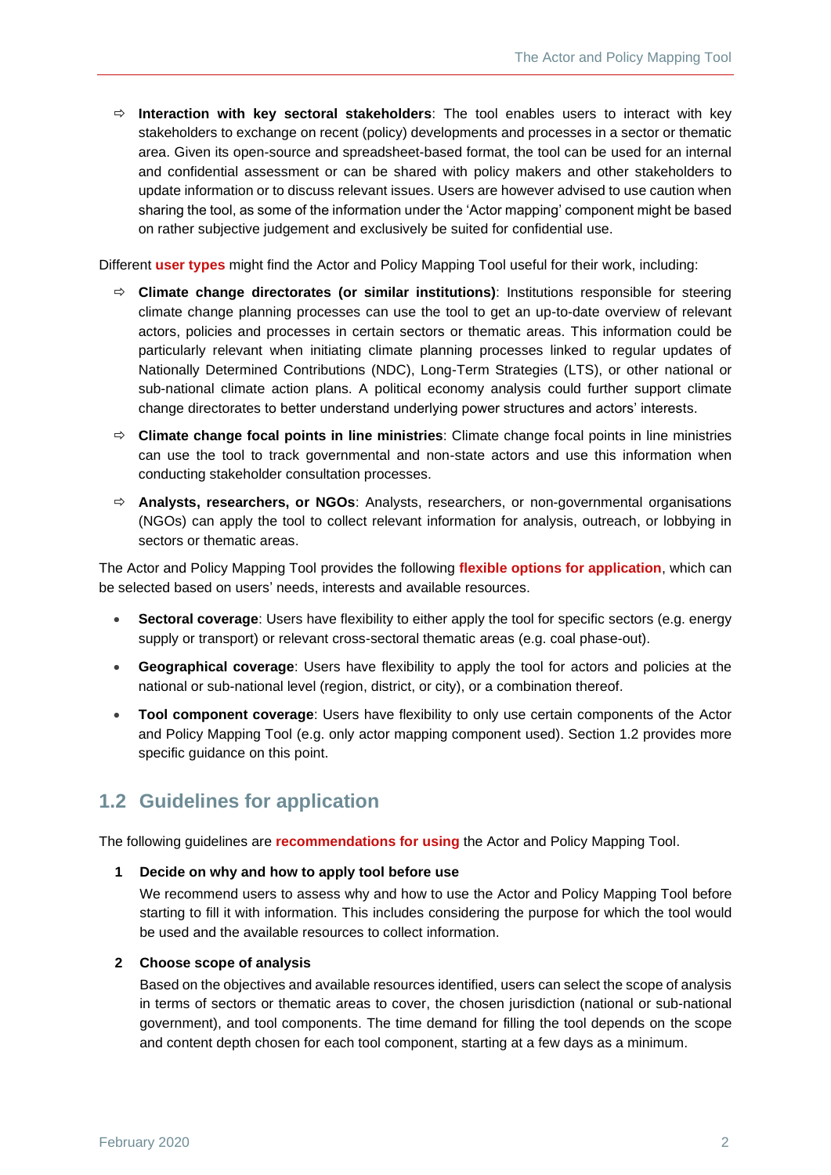**Interaction with key sectoral stakeholders**: The tool enables users to interact with key stakeholders to exchange on recent (policy) developments and processes in a sector or thematic area. Given its open-source and spreadsheet-based format, the tool can be used for an internal and confidential assessment or can be shared with policy makers and other stakeholders to update information or to discuss relevant issues. Users are however advised to use caution when sharing the tool, as some of the information under the 'Actor mapping' component might be based on rather subjective judgement and exclusively be suited for confidential use.

Different **user types** might find the Actor and Policy Mapping Tool useful for their work, including:

- **Climate change directorates (or similar institutions)**: Institutions responsible for steering climate change planning processes can use the tool to get an up-to-date overview of relevant actors, policies and processes in certain sectors or thematic areas. This information could be particularly relevant when initiating climate planning processes linked to regular updates of Nationally Determined Contributions (NDC), Long-Term Strategies (LTS), or other national or sub-national climate action plans. A political economy analysis could further support climate change directorates to better understand underlying power structures and actors' interests.
- **Climate change focal points in line ministries**: Climate change focal points in line ministries can use the tool to track governmental and non-state actors and use this information when conducting stakeholder consultation processes.
- **Analysts, researchers, or NGOs**: Analysts, researchers, or non-governmental organisations (NGOs) can apply the tool to collect relevant information for analysis, outreach, or lobbying in sectors or thematic areas.

The Actor and Policy Mapping Tool provides the following **flexible options for application**, which can be selected based on users' needs, interests and available resources.

- **Sectoral coverage**: Users have flexibility to either apply the tool for specific sectors (e.g. energy supply or transport) or relevant cross-sectoral thematic areas (e.g. coal phase-out).
- **Geographical coverage**: Users have flexibility to apply the tool for actors and policies at the national or sub-national level (region, district, or city), or a combination thereof.
- **Tool component coverage**: Users have flexibility to only use certain components of the Actor and Policy Mapping Tool (e.g. only actor mapping component used). Section [1.2](#page-4-0) provides more specific guidance on this point.

### <span id="page-4-0"></span>**1.2 Guidelines for application**

The following guidelines are **recommendations for using** the Actor and Policy Mapping Tool.

#### **1 Decide on why and how to apply tool before use**

We recommend users to assess why and how to use the Actor and Policy Mapping Tool before starting to fill it with information. This includes considering the purpose for which the tool would be used and the available resources to collect information.

#### **2 Choose scope of analysis**

Based on the objectives and available resources identified, users can select the scope of analysis in terms of sectors or thematic areas to cover, the chosen jurisdiction (national or sub-national government), and tool components. The time demand for filling the tool depends on the scope and content depth chosen for each tool component, starting at a few days as a minimum.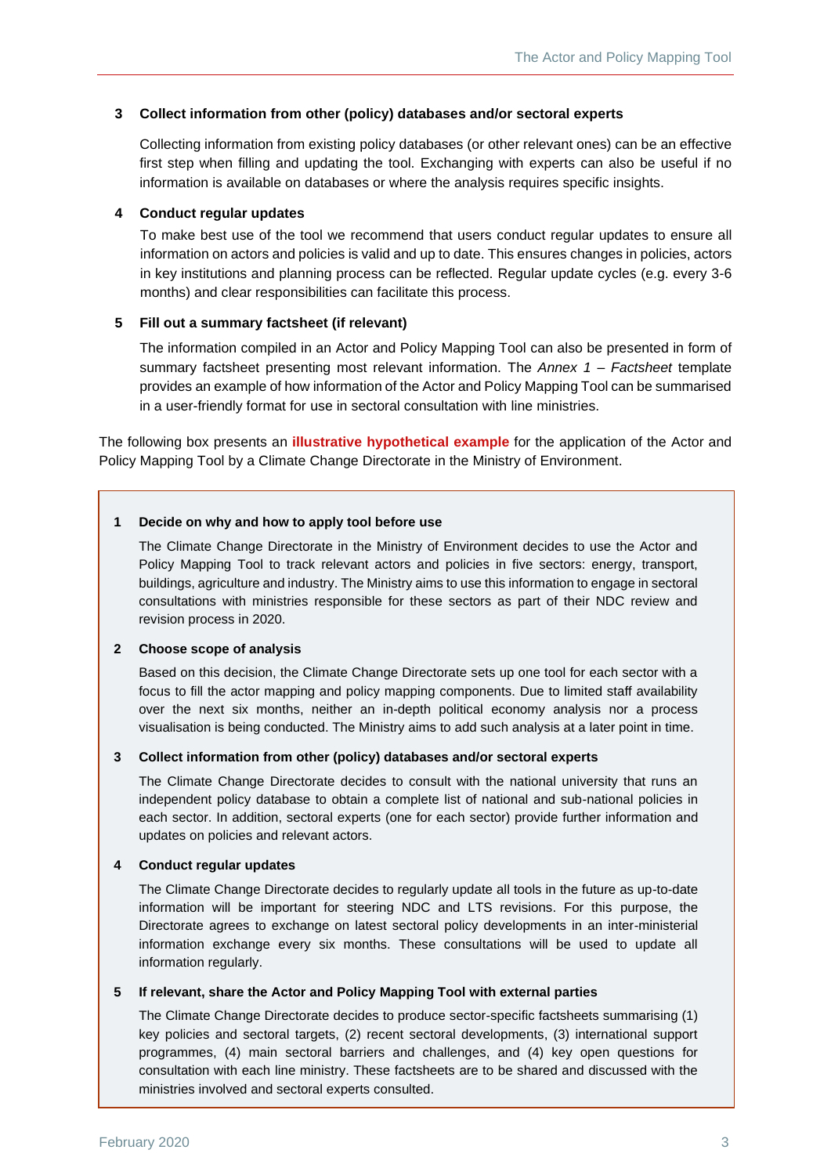#### **3 Collect information from other (policy) databases and/or sectoral experts**

Collecting information from existing policy databases (or other relevant ones) can be an effective first step when filling and updating the tool. Exchanging with experts can also be useful if no information is available on databases or where the analysis requires specific insights.

#### **4 Conduct regular updates**

To make best use of the tool we recommend that users conduct regular updates to ensure all information on actors and policies is valid and up to date. This ensures changes in policies, actors in key institutions and planning process can be reflected. Regular update cycles (e.g. every 3-6 months) and clear responsibilities can facilitate this process.

#### **5 Fill out a summary factsheet (if relevant)**

The information compiled in an Actor and Policy Mapping Tool can also be presented in form of summary factsheet presenting most relevant information. The *Annex 1 – [Factsheet](#page-11-0)* template provides an example of how information of the Actor and Policy Mapping Tool can be summarised in a user-friendly format for use in sectoral consultation with line ministries.

The following box presents an **illustrative hypothetical example** for the application of the Actor and Policy Mapping Tool by a Climate Change Directorate in the Ministry of Environment.

#### **1 Decide on why and how to apply tool before use**

The Climate Change Directorate in the Ministry of Environment decides to use the Actor and Policy Mapping Tool to track relevant actors and policies in five sectors: energy, transport, buildings, agriculture and industry. The Ministry aims to use this information to engage in sectoral consultations with ministries responsible for these sectors as part of their NDC review and revision process in 2020.

#### **2 Choose scope of analysis**

Based on this decision, the Climate Change Directorate sets up one tool for each sector with a focus to fill the actor mapping and policy mapping components. Due to limited staff availability over the next six months, neither an in-depth political economy analysis nor a process visualisation is being conducted. The Ministry aims to add such analysis at a later point in time.

#### **3 Collect information from other (policy) databases and/or sectoral experts**

The Climate Change Directorate decides to consult with the national university that runs an independent policy database to obtain a complete list of national and sub-national policies in each sector. In addition, sectoral experts (one for each sector) provide further information and updates on policies and relevant actors.

#### **4 Conduct regular updates**

The Climate Change Directorate decides to regularly update all tools in the future as up-to-date information will be important for steering NDC and LTS revisions. For this purpose, the Directorate agrees to exchange on latest sectoral policy developments in an inter-ministerial information exchange every six months. These consultations will be used to update all information regularly.

#### **5 If relevant, share the Actor and Policy Mapping Tool with external parties**

The Climate Change Directorate decides to produce sector-specific factsheets summarising (1) key policies and sectoral targets, (2) recent sectoral developments, (3) international support programmes, (4) main sectoral barriers and challenges, and (4) key open questions for consultation with each line ministry. These factsheets are to be shared and discussed with the ministries involved and sectoral experts consulted.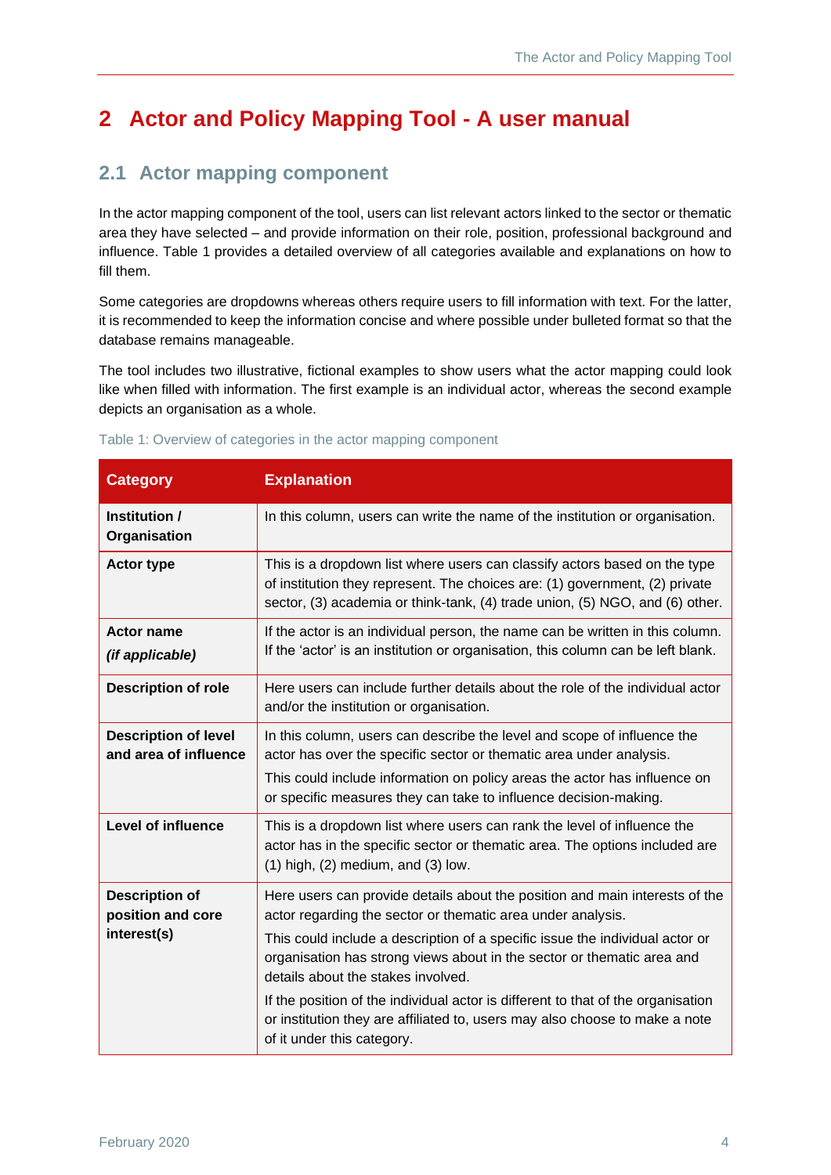# <span id="page-6-0"></span>**2 Actor and Policy Mapping Tool - A user manual**

### <span id="page-6-1"></span>**2.1 Actor mapping component**

In the actor mapping component of the tool, users can list relevant actors linked to the sector or thematic area they have selected – and provide information on their role, position, professional background and influence. [Table 1](#page-6-2) provides a detailed overview of all categories available and explanations on how to fill them.

Some categories are dropdowns whereas others require users to fill information with text. For the latter, it is recommended to keep the information concise and where possible under bulleted format so that the database remains manageable.

The tool includes two illustrative, fictional examples to show users what the actor mapping could look like when filled with information. The first example is an individual actor, whereas the second example depicts an organisation as a whole.

| <b>Category</b>                                           | <b>Explanation</b>                                                                                                                                                                                                                                                                                                                                                                                                                                                                                                                          |
|-----------------------------------------------------------|---------------------------------------------------------------------------------------------------------------------------------------------------------------------------------------------------------------------------------------------------------------------------------------------------------------------------------------------------------------------------------------------------------------------------------------------------------------------------------------------------------------------------------------------|
| Institution /<br>Organisation                             | In this column, users can write the name of the institution or organisation.                                                                                                                                                                                                                                                                                                                                                                                                                                                                |
| <b>Actor type</b>                                         | This is a dropdown list where users can classify actors based on the type<br>of institution they represent. The choices are: (1) government, (2) private<br>sector, (3) academia or think-tank, (4) trade union, (5) NGO, and (6) other.                                                                                                                                                                                                                                                                                                    |
| <b>Actor name</b><br>(if applicable)                      | If the actor is an individual person, the name can be written in this column.<br>If the 'actor' is an institution or organisation, this column can be left blank.                                                                                                                                                                                                                                                                                                                                                                           |
| <b>Description of role</b>                                | Here users can include further details about the role of the individual actor<br>and/or the institution or organisation.                                                                                                                                                                                                                                                                                                                                                                                                                    |
| <b>Description of level</b><br>and area of influence      | In this column, users can describe the level and scope of influence the<br>actor has over the specific sector or thematic area under analysis.<br>This could include information on policy areas the actor has influence on<br>or specific measures they can take to influence decision-making.                                                                                                                                                                                                                                             |
| <b>Level of influence</b>                                 | This is a dropdown list where users can rank the level of influence the<br>actor has in the specific sector or thematic area. The options included are<br>$(1)$ high, $(2)$ medium, and $(3)$ low.                                                                                                                                                                                                                                                                                                                                          |
| <b>Description of</b><br>position and core<br>interest(s) | Here users can provide details about the position and main interests of the<br>actor regarding the sector or thematic area under analysis.<br>This could include a description of a specific issue the individual actor or<br>organisation has strong views about in the sector or thematic area and<br>details about the stakes involved.<br>If the position of the individual actor is different to that of the organisation<br>or institution they are affiliated to, users may also choose to make a note<br>of it under this category. |

#### <span id="page-6-2"></span>Table 1: Overview of categories in the actor mapping component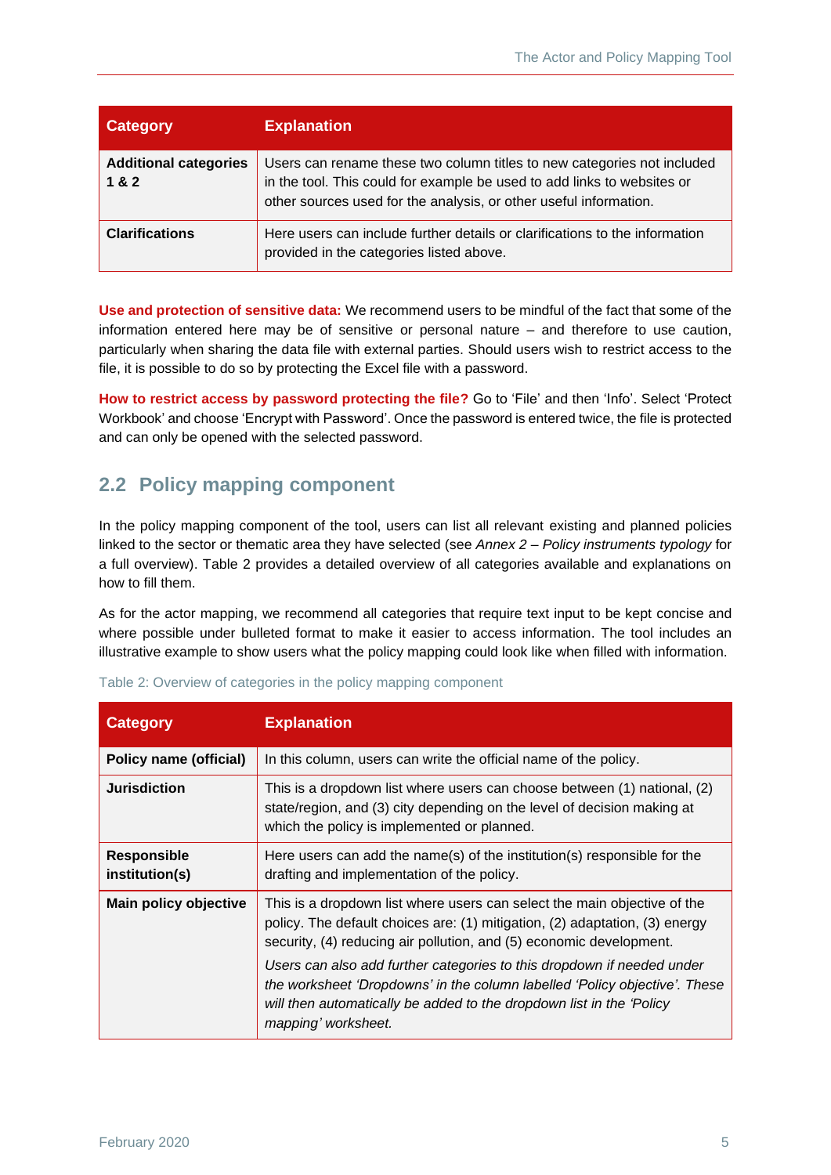| <b>Category</b>                       | <b>Explanation</b>                                                                                                                                                                                                      |
|---------------------------------------|-------------------------------------------------------------------------------------------------------------------------------------------------------------------------------------------------------------------------|
| <b>Additional categories</b><br>1 & 2 | Users can rename these two column titles to new categories not included<br>in the tool. This could for example be used to add links to websites or<br>other sources used for the analysis, or other useful information. |
| <b>Clarifications</b>                 | Here users can include further details or clarifications to the information<br>provided in the categories listed above.                                                                                                 |

**Use and protection of sensitive data:** We recommend users to be mindful of the fact that some of the information entered here may be of sensitive or personal nature – and therefore to use caution, particularly when sharing the data file with external parties. Should users wish to restrict access to the file, it is possible to do so by protecting the Excel file with a password.

**How to restrict access by password protecting the file?** Go to 'File' and then 'Info'. Select 'Protect Workbook' and choose 'Encrypt with Password'. Once the password is entered twice, the file is protected and can only be opened with the selected password.

### <span id="page-7-0"></span>**2.2 Policy mapping component**

In the policy mapping component of the tool, users can list all relevant existing and planned policies linked to the sector or thematic area they have selected (see *Annex 2 – [Policy instruments typology](#page-12-0)* for a full overview). [Table 2](#page-7-1) provides a detailed overview of all categories available and explanations on how to fill them.

As for the actor mapping, we recommend all categories that require text input to be kept concise and where possible under bulleted format to make it easier to access information. The tool includes an illustrative example to show users what the policy mapping could look like when filled with information.

| <b>Category</b>                      | <b>Explanation</b>                                                                                                                                                                                                                                                                                                                                                                                                                                                                    |
|--------------------------------------|---------------------------------------------------------------------------------------------------------------------------------------------------------------------------------------------------------------------------------------------------------------------------------------------------------------------------------------------------------------------------------------------------------------------------------------------------------------------------------------|
| <b>Policy name (official)</b>        | In this column, users can write the official name of the policy.                                                                                                                                                                                                                                                                                                                                                                                                                      |
| <b>Jurisdiction</b>                  | This is a dropdown list where users can choose between (1) national, (2)<br>state/region, and (3) city depending on the level of decision making at<br>which the policy is implemented or planned.                                                                                                                                                                                                                                                                                    |
| <b>Responsible</b><br>institution(s) | Here users can add the name(s) of the institution(s) responsible for the<br>drafting and implementation of the policy.                                                                                                                                                                                                                                                                                                                                                                |
| Main policy objective                | This is a dropdown list where users can select the main objective of the<br>policy. The default choices are: (1) mitigation, (2) adaptation, (3) energy<br>security, (4) reducing air pollution, and (5) economic development.<br>Users can also add further categories to this dropdown if needed under<br>the worksheet 'Dropdowns' in the column labelled 'Policy objective'. These<br>will then automatically be added to the dropdown list in the 'Policy<br>mapping' worksheet. |

<span id="page-7-1"></span>

|  | Table 2: Overview of categories in the policy mapping component |  |  |
|--|-----------------------------------------------------------------|--|--|
|  |                                                                 |  |  |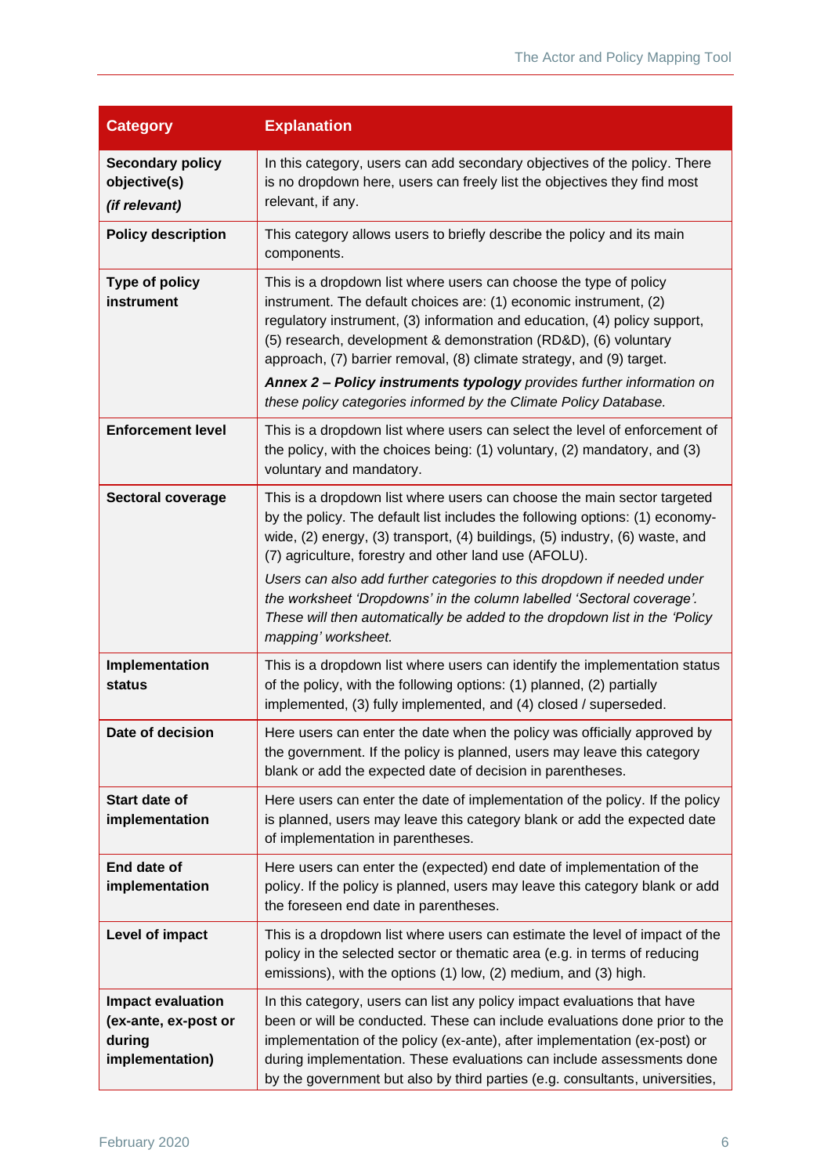| <b>Category</b>                                                               | <b>Explanation</b>                                                                                                                                                                                                                                                                                                                                                                                                                                                                                                                                       |
|-------------------------------------------------------------------------------|----------------------------------------------------------------------------------------------------------------------------------------------------------------------------------------------------------------------------------------------------------------------------------------------------------------------------------------------------------------------------------------------------------------------------------------------------------------------------------------------------------------------------------------------------------|
| <b>Secondary policy</b><br>objective(s)<br>(if relevant)                      | In this category, users can add secondary objectives of the policy. There<br>is no dropdown here, users can freely list the objectives they find most<br>relevant, if any.                                                                                                                                                                                                                                                                                                                                                                               |
| <b>Policy description</b>                                                     | This category allows users to briefly describe the policy and its main<br>components.                                                                                                                                                                                                                                                                                                                                                                                                                                                                    |
| Type of policy<br>instrument                                                  | This is a dropdown list where users can choose the type of policy<br>instrument. The default choices are: (1) economic instrument, (2)<br>regulatory instrument, (3) information and education, (4) policy support,<br>(5) research, development & demonstration (RD&D), (6) voluntary<br>approach, (7) barrier removal, (8) climate strategy, and (9) target.<br>Annex 2 - Policy instruments typology provides further information on<br>these policy categories informed by the Climate Policy Database.                                              |
| <b>Enforcement level</b>                                                      | This is a dropdown list where users can select the level of enforcement of<br>the policy, with the choices being: (1) voluntary, (2) mandatory, and (3)<br>voluntary and mandatory.                                                                                                                                                                                                                                                                                                                                                                      |
| <b>Sectoral coverage</b>                                                      | This is a dropdown list where users can choose the main sector targeted<br>by the policy. The default list includes the following options: (1) economy-<br>wide, (2) energy, (3) transport, (4) buildings, (5) industry, (6) waste, and<br>(7) agriculture, forestry and other land use (AFOLU).<br>Users can also add further categories to this dropdown if needed under<br>the worksheet 'Dropdowns' in the column labelled 'Sectoral coverage'.<br>These will then automatically be added to the dropdown list in the 'Policy<br>mapping' worksheet. |
| Implementation<br>status                                                      | This is a dropdown list where users can identify the implementation status<br>of the policy, with the following options: (1) planned, (2) partially<br>implemented, (3) fully implemented, and (4) closed / superseded.                                                                                                                                                                                                                                                                                                                                  |
| Date of decision                                                              | Here users can enter the date when the policy was officially approved by<br>the government. If the policy is planned, users may leave this category<br>blank or add the expected date of decision in parentheses.                                                                                                                                                                                                                                                                                                                                        |
| <b>Start date of</b><br>implementation                                        | Here users can enter the date of implementation of the policy. If the policy<br>is planned, users may leave this category blank or add the expected date<br>of implementation in parentheses.                                                                                                                                                                                                                                                                                                                                                            |
| End date of<br>implementation                                                 | Here users can enter the (expected) end date of implementation of the<br>policy. If the policy is planned, users may leave this category blank or add<br>the foreseen end date in parentheses.                                                                                                                                                                                                                                                                                                                                                           |
| Level of impact                                                               | This is a dropdown list where users can estimate the level of impact of the<br>policy in the selected sector or thematic area (e.g. in terms of reducing<br>emissions), with the options (1) low, (2) medium, and (3) high.                                                                                                                                                                                                                                                                                                                              |
| <b>Impact evaluation</b><br>(ex-ante, ex-post or<br>during<br>implementation) | In this category, users can list any policy impact evaluations that have<br>been or will be conducted. These can include evaluations done prior to the<br>implementation of the policy (ex-ante), after implementation (ex-post) or<br>during implementation. These evaluations can include assessments done<br>by the government but also by third parties (e.g. consultants, universities,                                                                                                                                                             |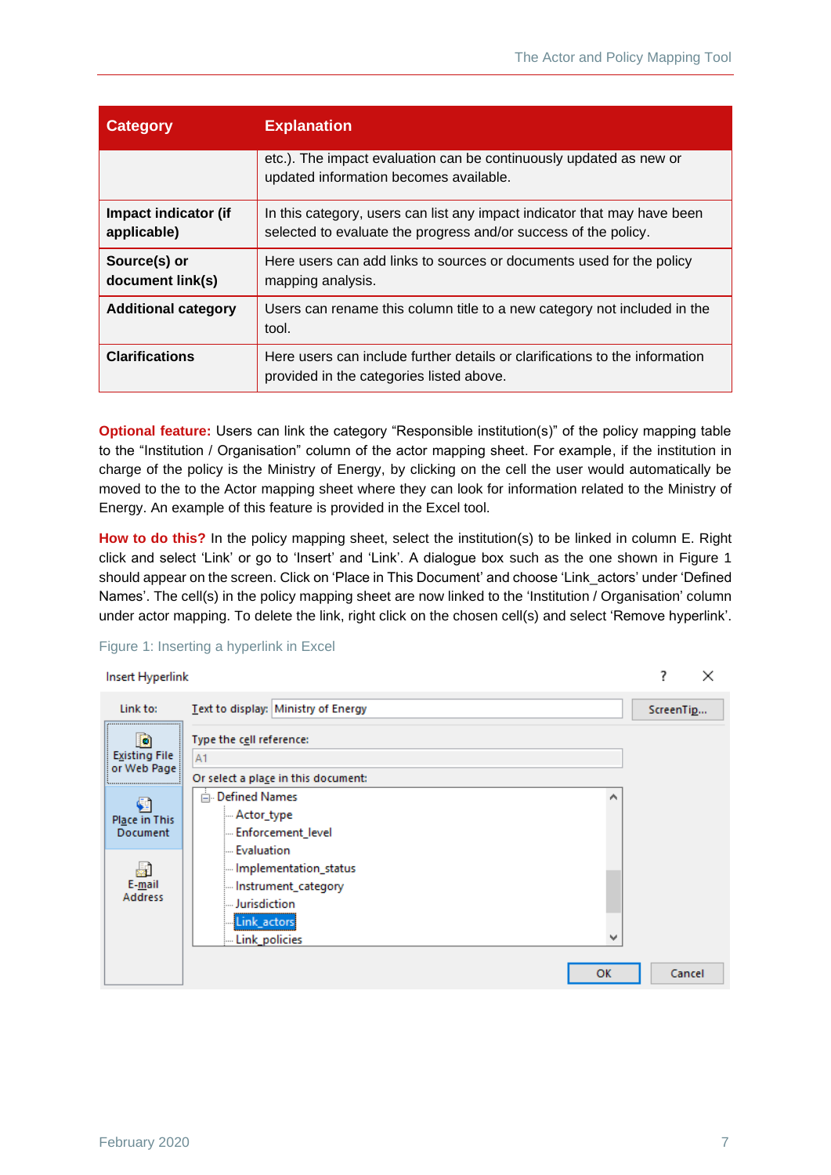| <b>Category</b>                     | <b>Explanation</b>                                                                                                                          |  |  |
|-------------------------------------|---------------------------------------------------------------------------------------------------------------------------------------------|--|--|
|                                     | etc.). The impact evaluation can be continuously updated as new or<br>updated information becomes available.                                |  |  |
| Impact indicator (if<br>applicable) | In this category, users can list any impact indicator that may have been<br>selected to evaluate the progress and/or success of the policy. |  |  |
| Source(s) or<br>document link(s)    | Here users can add links to sources or documents used for the policy<br>mapping analysis.                                                   |  |  |
| <b>Additional category</b>          | Users can rename this column title to a new category not included in the<br>tool.                                                           |  |  |
| <b>Clarifications</b>               | Here users can include further details or clarifications to the information<br>provided in the categories listed above.                     |  |  |

**Optional feature:** Users can link the category "Responsible institution(s)" of the policy mapping table to the "Institution / Organisation" column of the actor mapping sheet. For example, if the institution in charge of the policy is the Ministry of Energy, by clicking on the cell the user would automatically be moved to the to the Actor mapping sheet where they can look for information related to the Ministry of Energy. An example of this feature is provided in the Excel tool.

**How to do this?** In the policy mapping sheet, select the institution(s) to be linked in column E. Right click and select 'Link' or go to 'Insert' and 'Link'. A dialogue box such as the one shown in [Figure 1](#page-9-0) should appear on the screen. Click on 'Place in This Document' and choose 'Link\_actors' under 'Defined Names'. The cell(s) in the policy mapping sheet are now linked to the 'Institution / Organisation' column under actor mapping. To delete the link, right click on the chosen cell(s) and select 'Remove hyperlink'.



#### <span id="page-9-0"></span>Figure 1: Inserting a hyperlink in Excel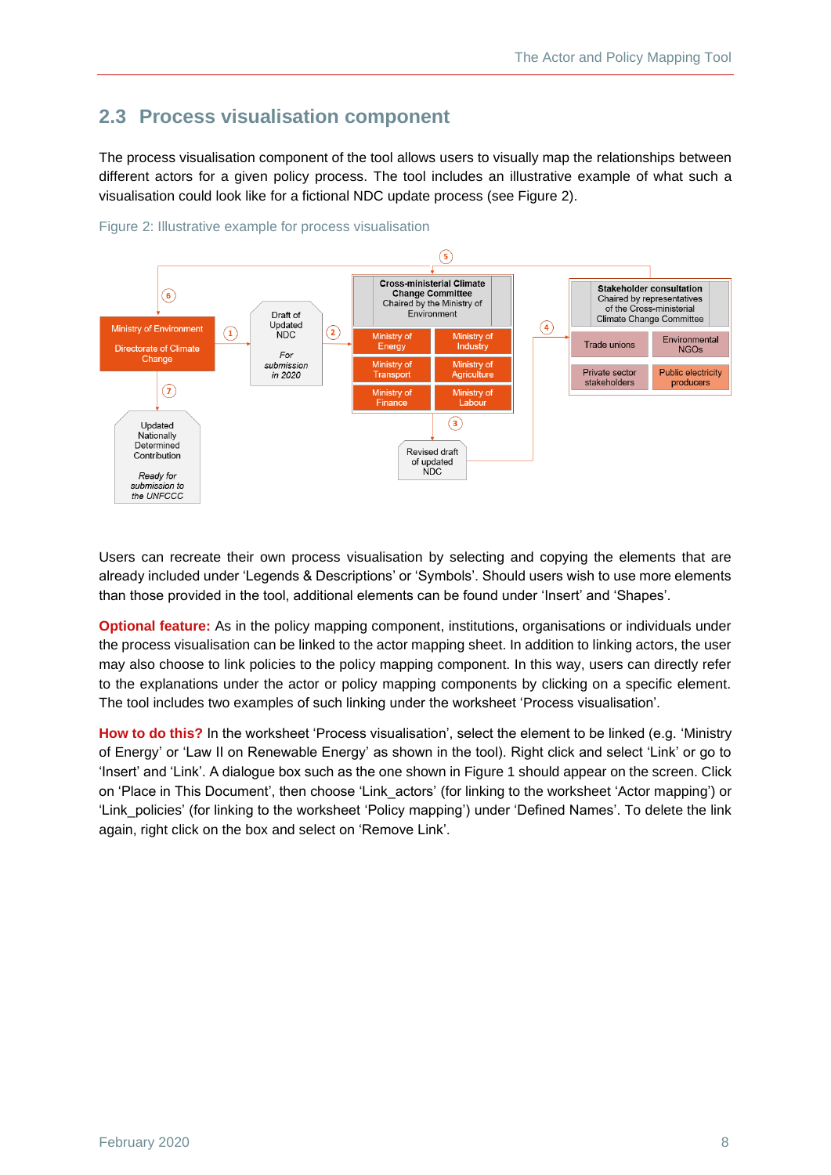### <span id="page-10-0"></span>**2.3 Process visualisation component**

The process visualisation component of the tool allows users to visually map the relationships between different actors for a given policy process. The tool includes an illustrative example of what such a visualisation could look like for a fictional NDC update process (see [Figure 2\)](#page-10-1).



<span id="page-10-1"></span>Figure 2: Illustrative example for process visualisation

Users can recreate their own process visualisation by selecting and copying the elements that are already included under 'Legends & Descriptions' or 'Symbols'. Should users wish to use more elements than those provided in the tool, additional elements can be found under 'Insert' and 'Shapes'.

**Optional feature:** As in the policy mapping component, institutions, organisations or individuals under the process visualisation can be linked to the actor mapping sheet. In addition to linking actors, the user may also choose to link policies to the policy mapping component. In this way, users can directly refer to the explanations under the actor or policy mapping components by clicking on a specific element. The tool includes two examples of such linking under the worksheet 'Process visualisation'.

**How to do this?** In the worksheet 'Process visualisation', select the element to be linked (e.g. 'Ministry of Energy' or 'Law II on Renewable Energy' as shown in the tool). Right click and select 'Link' or go to 'Insert' and 'Link'. A dialogue box such as the one shown i[n Figure 1](#page-9-0) should appear on the screen. Click on 'Place in This Document', then choose 'Link\_actors' (for linking to the worksheet 'Actor mapping') or 'Link\_policies' (for linking to the worksheet 'Policy mapping') under 'Defined Names'. To delete the link again, right click on the box and select on 'Remove Link'.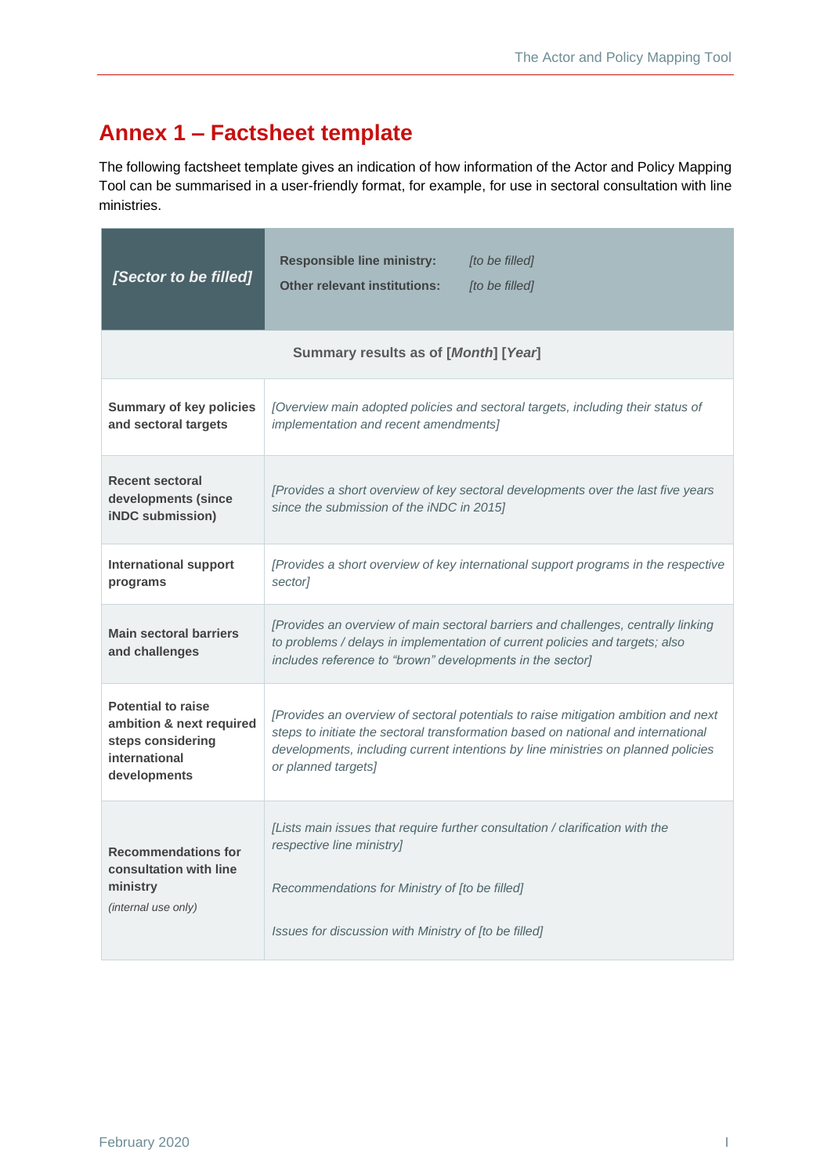# <span id="page-11-0"></span>**Annex 1 – Factsheet template**

The following factsheet template gives an indication of how information of the Actor and Policy Mapping Tool can be summarised in a user-friendly format, for example, for use in sectoral consultation with line ministries.

| [Sector to be filled]                                                                                                                     | <b>Responsible line ministry:</b><br>[to be filled]<br><b>Other relevant institutions:</b><br>[to be filled]                                                                                                                                                                        |  |  |  |  |
|-------------------------------------------------------------------------------------------------------------------------------------------|-------------------------------------------------------------------------------------------------------------------------------------------------------------------------------------------------------------------------------------------------------------------------------------|--|--|--|--|
| Summary results as of [Month] [Year]                                                                                                      |                                                                                                                                                                                                                                                                                     |  |  |  |  |
| <b>Summary of key policies</b><br>and sectoral targets                                                                                    | [Overview main adopted policies and sectoral targets, including their status of<br>implementation and recent amendments]                                                                                                                                                            |  |  |  |  |
| <b>Recent sectoral</b><br>developments (since<br><b>iNDC</b> submission)                                                                  | [Provides a short overview of key sectoral developments over the last five years<br>since the submission of the iNDC in 2015]                                                                                                                                                       |  |  |  |  |
| <b>International support</b><br>[Provides a short overview of key international support programs in the respective<br>sector]<br>programs |                                                                                                                                                                                                                                                                                     |  |  |  |  |
| <b>Main sectoral barriers</b><br>and challenges                                                                                           | [Provides an overview of main sectoral barriers and challenges, centrally linking<br>to problems / delays in implementation of current policies and targets; also<br>includes reference to "brown" developments in the sector]                                                      |  |  |  |  |
| <b>Potential to raise</b><br>ambition & next required<br>steps considering<br>international<br>developments                               | [Provides an overview of sectoral potentials to raise mitigation ambition and next<br>steps to initiate the sectoral transformation based on national and international<br>developments, including current intentions by line ministries on planned policies<br>or planned targets] |  |  |  |  |
| <b>Recommendations for</b><br>consultation with line                                                                                      | [Lists main issues that require further consultation / clarification with the<br>respective line ministry]                                                                                                                                                                          |  |  |  |  |
| ministry<br>(internal use only)                                                                                                           | Recommendations for Ministry of [to be filled]<br>Issues for discussion with Ministry of [to be filled]                                                                                                                                                                             |  |  |  |  |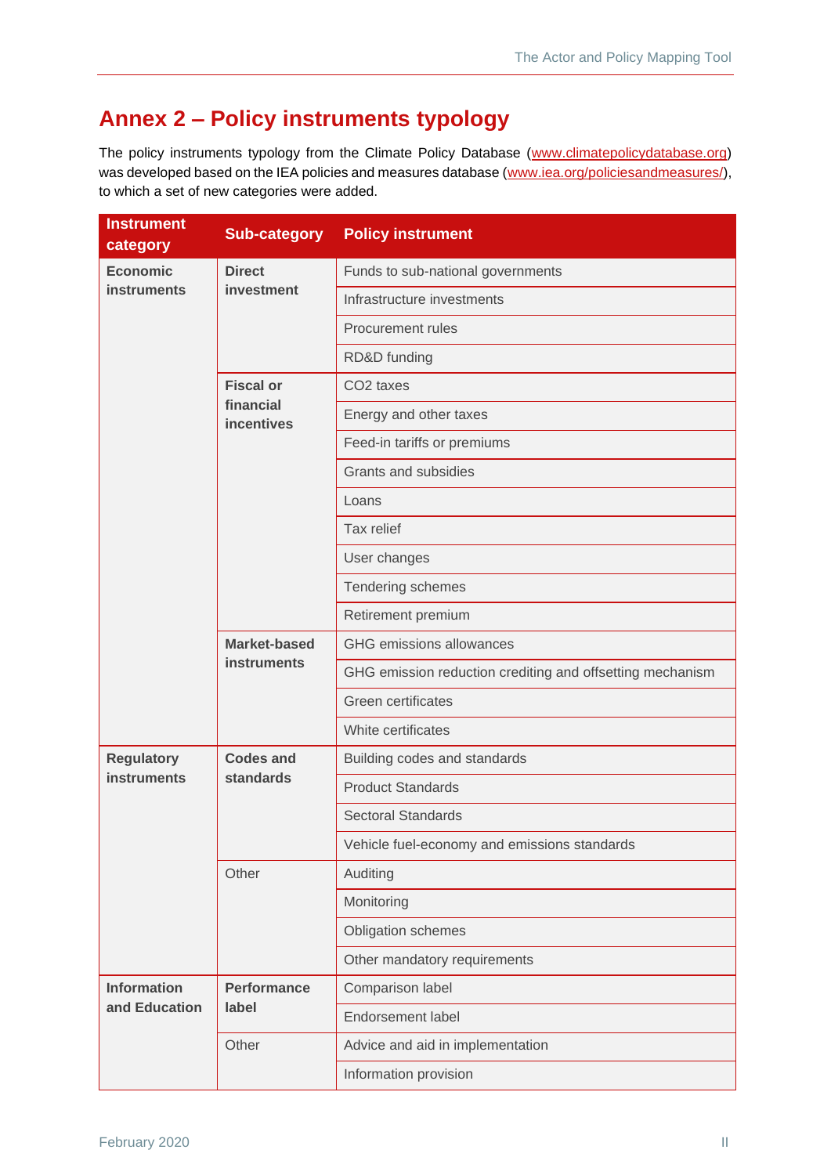# <span id="page-12-0"></span>**Annex 2 – Policy instruments typology**

The policy instruments typology from the Climate Policy Database [\(www.climatepolicydatabase.org\)](http://www.climatepolicydatabase.org/) was developed based on the IEA policies and measures database [\(www.iea.org/policiesandmeasures/\)](http://www.iea.org/policiesandmeasures/), to which a set of new categories were added.

| <b>Instrument</b><br>category | <b>Sub-category</b>                                | <b>Policy instrument</b>                                  |
|-------------------------------|----------------------------------------------------|-----------------------------------------------------------|
| <b>Economic</b>               | <b>Direct</b>                                      | Funds to sub-national governments                         |
| <b>instruments</b>            | investment                                         | Infrastructure investments                                |
|                               |                                                    | <b>Procurement rules</b>                                  |
|                               |                                                    | RD&D funding                                              |
|                               | <b>Fiscal or</b><br>financial<br><b>incentives</b> | CO <sub>2</sub> taxes                                     |
|                               |                                                    | Energy and other taxes                                    |
|                               |                                                    | Feed-in tariffs or premiums                               |
|                               |                                                    | Grants and subsidies                                      |
|                               |                                                    | Loans                                                     |
|                               |                                                    | Tax relief                                                |
|                               |                                                    | User changes                                              |
|                               |                                                    | Tendering schemes                                         |
|                               |                                                    | Retirement premium                                        |
|                               | <b>Market-based</b><br><b>instruments</b>          | <b>GHG</b> emissions allowances                           |
|                               |                                                    | GHG emission reduction crediting and offsetting mechanism |
|                               |                                                    | Green certificates                                        |
|                               |                                                    | White certificates                                        |
| <b>Regulatory</b>             | <b>Codes and</b>                                   | Building codes and standards                              |
| <b>instruments</b>            | <b>standards</b>                                   | <b>Product Standards</b>                                  |
|                               |                                                    | <b>Sectoral Standards</b>                                 |
|                               |                                                    | Vehicle fuel-economy and emissions standards              |
|                               | Other                                              | Auditing                                                  |
|                               |                                                    | Monitoring                                                |
|                               |                                                    | Obligation schemes                                        |
|                               |                                                    | Other mandatory requirements                              |
| <b>Information</b>            | <b>Performance</b><br>label                        | Comparison label                                          |
| and Education                 |                                                    | Endorsement label                                         |
|                               | Other                                              | Advice and aid in implementation                          |
|                               |                                                    | Information provision                                     |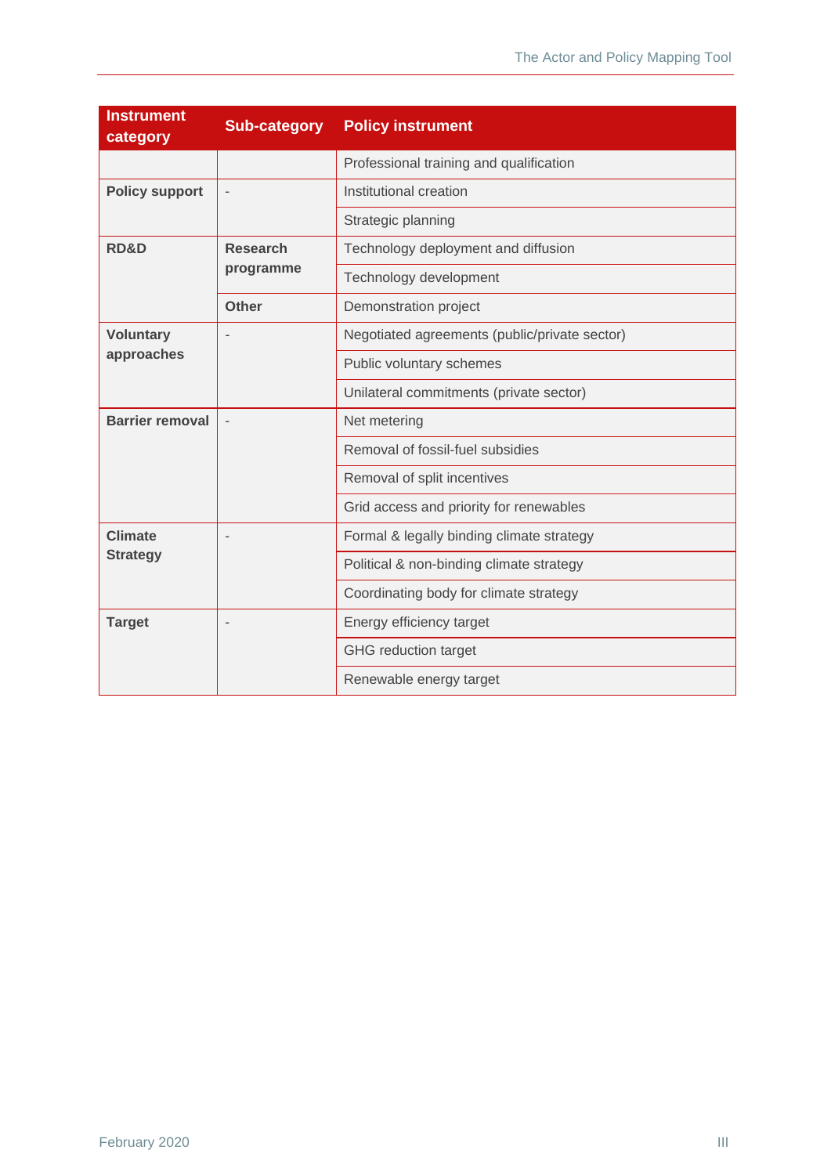| <b>Instrument</b><br>category | <b>Sub-category</b>          | <b>Policy instrument</b>                      |
|-------------------------------|------------------------------|-----------------------------------------------|
|                               |                              | Professional training and qualification       |
| <b>Policy support</b>         |                              | Institutional creation                        |
|                               |                              | Strategic planning                            |
| <b>RD&amp;D</b>               | <b>Research</b><br>programme | Technology deployment and diffusion           |
|                               |                              | Technology development                        |
|                               | <b>Other</b>                 | Demonstration project                         |
| <b>Voluntary</b>              |                              | Negotiated agreements (public/private sector) |
| approaches                    |                              | Public voluntary schemes                      |
|                               |                              | Unilateral commitments (private sector)       |
| <b>Barrier removal</b>        |                              | Net metering                                  |
|                               |                              | Removal of fossil-fuel subsidies              |
|                               |                              | Removal of split incentives                   |
|                               |                              | Grid access and priority for renewables       |
| <b>Climate</b>                |                              | Formal & legally binding climate strategy     |
| <b>Strategy</b>               |                              | Political & non-binding climate strategy      |
|                               |                              | Coordinating body for climate strategy        |
| <b>Target</b>                 |                              | Energy efficiency target                      |
|                               |                              | <b>GHG</b> reduction target                   |
|                               |                              | Renewable energy target                       |